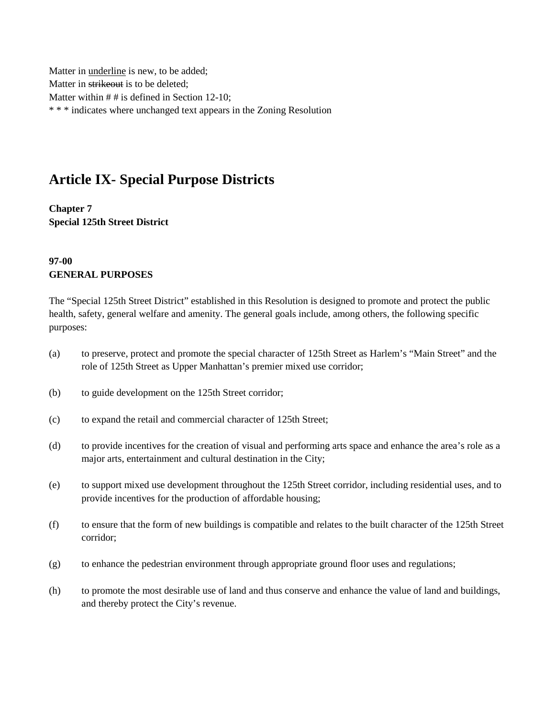Matter in underline is new, to be added; Matter in strikeout is to be deleted; Matter within # # is defined in Section 12-10; \* \* \* indicates where unchanged text appears in the Zoning Resolution

# **Article IX- Special Purpose Districts**

**Chapter 7 Special 125th Street District**

### **97-00 GENERAL PURPOSES**

The "Special 125th Street District" established in this Resolution is designed to promote and protect the public health, safety, general welfare and amenity. The general goals include, among others, the following specific purposes:

- (a) to preserve, protect and promote the special character of 125th Street as Harlem's "Main Street" and the role of 125th Street as Upper Manhattan's premier mixed use corridor;
- (b) to guide development on the 125th Street corridor;
- (c) to expand the retail and commercial character of 125th Street;
- (d) to provide incentives for the creation of visual and performing arts space and enhance the area's role as a major arts, entertainment and cultural destination in the City;
- (e) to support mixed use development throughout the 125th Street corridor, including residential uses, and to provide incentives for the production of affordable housing;
- (f) to ensure that the form of new buildings is compatible and relates to the built character of the 125th Street corridor;
- (g) to enhance the pedestrian environment through appropriate ground floor uses and regulations;
- (h) to promote the most desirable use of land and thus conserve and enhance the value of land and buildings, and thereby protect the City's revenue.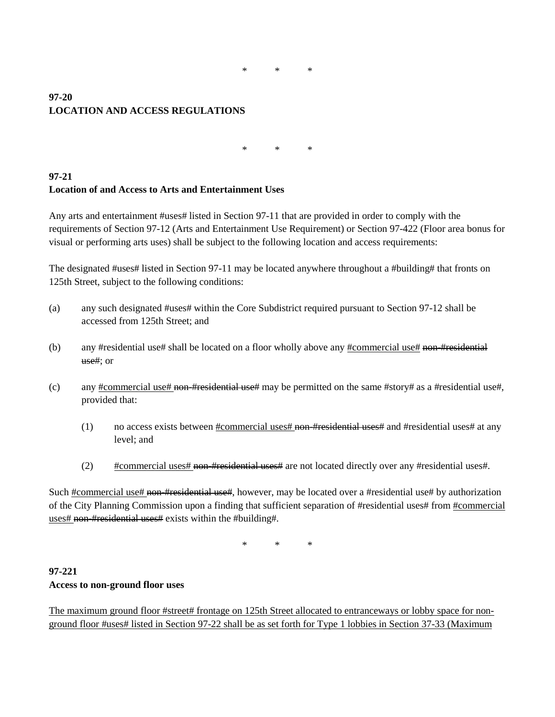\* \* \*

### **97-20 LOCATION AND ACCESS REGULATIONS**

\* \* \*

### **97-21 Location of and Access to Arts and Entertainment Uses**

Any arts and entertainment #uses# listed in Section 97-11 that are provided in order to comply with the requirements of Section 97-12 (Arts and Entertainment Use Requirement) or Section 97-422 (Floor area bonus for visual or performing arts uses) shall be subject to the following location and access requirements:

The designated #uses# listed in Section 97-11 may be located anywhere throughout a #building# that fronts on 125th Street, subject to the following conditions:

- (a) any such designated #uses# within the Core Subdistrict required pursuant to Section 97-12 shall be accessed from 125th Street; and
- (b) any #residential use# shall be located on a floor wholly above any  $\frac{4}{2}$  rommercial use  $\frac{4}{2}$  non-#residential use#; or
- (c) any  $\frac{\text{H}}{\text{command}}$  = to  $\frac{\text{H}}{\text{command}}$  = to  $\frac{\text{H}}{\text{H}}$  may be permitted on the same  $\frac{\text{H}}{\text{under}}$  as a #residential use#, provided that:
	- (1) no access exists between  $\frac{\text{H}\text{commercial}}{\text{uses\#}}$  non- $\frac{\text{H}\text{residential uses}}{\text{uses\#}}$  and  $\frac{\text{H}\text{residential uses}}{\text{uses\#}}$  at any level; and
	- (2) #commercial uses# non-#residential uses# are not located directly over any #residential uses#.

Such #commercial use# non-#residential use#, however, may be located over a #residential use# by authorization of the City Planning Commission upon a finding that sufficient separation of #residential uses# from #commercial uses# non-#residential uses# exists within the #building#.

\* \* \*

### **97-221 Access to non-ground floor uses**

The maximum ground floor #street# frontage on 125th Street allocated to entranceways or lobby space for nonground floor #uses# listed in Section 97-22 shall be as set forth for Type 1 lobbies in Section 37-33 (Maximum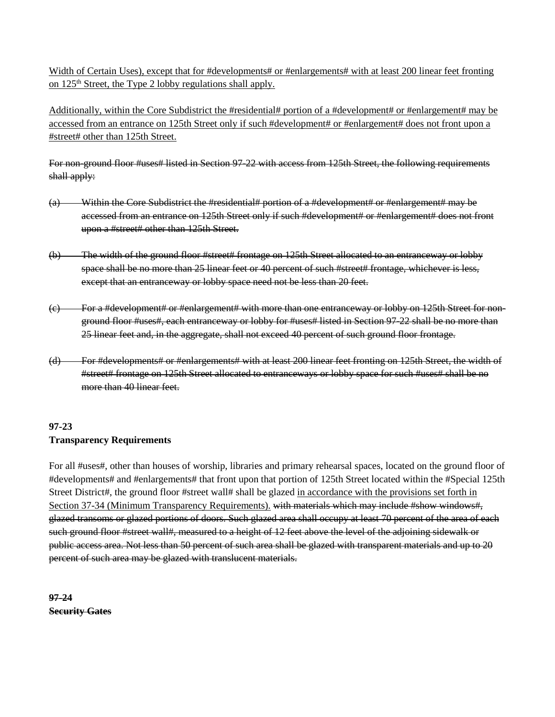Width of Certain Uses), except that for #developments# or #enlargements# with at least 200 linear feet fronting on 125th Street, the Type 2 lobby regulations shall apply.

Additionally, within the Core Subdistrict the #residential# portion of a #development# or #enlargement# may be accessed from an entrance on 125th Street only if such #development# or #enlargement# does not front upon a #street# other than 125th Street.

For non-ground floor #uses# listed in Section 97-22 with access from 125th Street, the following requirements shall apply:

- (a) Within the Core Subdistrict the #residential# portion of a #development# or #enlargement# may be accessed from an entrance on 125th Street only if such #development# or #enlargement# does not front upon a #street# other than 125th Street.
- (b) The width of the ground floor #street# frontage on 125th Street allocated to an entranceway or lobby space shall be no more than 25 linear feet or 40 percent of such #street# frontage, whichever is less, except that an entranceway or lobby space need not be less than 20 feet.
- (c) For a #development# or #enlargement# with more than one entranceway or lobby on 125th Street for nonground floor #uses#, each entranceway or lobby for #uses# listed in Section 97-22 shall be no more than 25 linear feet and, in the aggregate, shall not exceed 40 percent of such ground floor frontage.
- (d) For #developments# or #enlargements# with at least 200 linear feet fronting on 125th Street, the width of #street# frontage on 125th Street allocated to entranceways or lobby space for such #uses# shall be no more than 40 linear feet.

## **97-23 Transparency Requirements**

For all #uses#, other than houses of worship, libraries and primary rehearsal spaces, located on the ground floor of #developments# and #enlargements# that front upon that portion of 125th Street located within the #Special 125th Street District#, the ground floor #street wall# shall be glazed in accordance with the provisions set forth in Section 37-34 (Minimum Transparency Requirements). with materials which may include #show windows#, glazed transoms or glazed portions of doors. Such glazed area shall occupy at least 70 percent of the area of each such ground floor #street wall#, measured to a height of 12 feet above the level of the adjoining sidewalk or public access area. Not less than 50 percent of such area shall be glazed with transparent materials and up to 20 percent of such area may be glazed with translucent materials.

**97-24 Security Gates**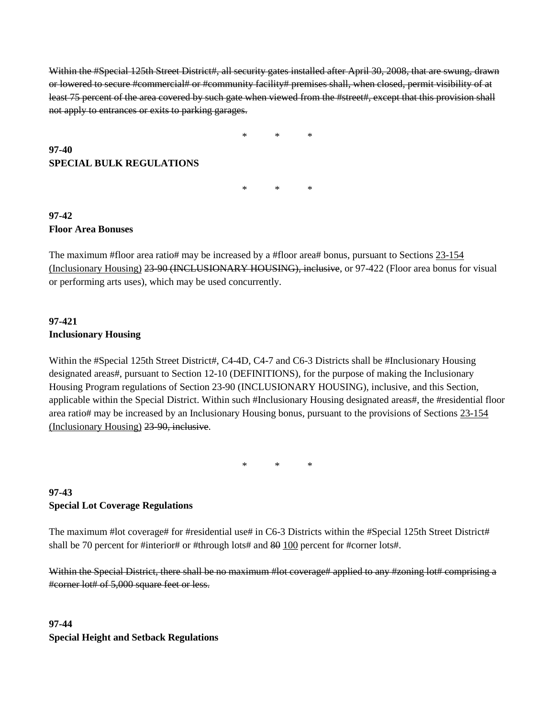Within the #Special 125th Street District#, all security gates installed after April 30, 2008, that are swung, drawn or lowered to secure #commercial# or #community facility# premises shall, when closed, permit visibility of at least 75 percent of the area covered by such gate when viewed from the #street#, except that this provision shall not apply to entrances or exits to parking garages.

\* \* \*

\* \* \*

**SPECIAL BULK REGULATIONS**

### **97-42 Floor Area Bonuses**

**97-40**

The maximum #floor area ratio# may be increased by a #floor area# bonus, pursuant to Sections 23-154 (Inclusionary Housing) 23-90 (INCLUSIONARY HOUSING), inclusive, or 97-422 (Floor area bonus for visual or performing arts uses), which may be used concurrently.

### **97-421 Inclusionary Housing**

Within the #Special 125th Street District#, C4-4D, C4-7 and C6-3 Districts shall be #Inclusionary Housing designated areas#, pursuant to Section 12-10 (DEFINITIONS), for the purpose of making the Inclusionary Housing Program regulations of Section 23-90 (INCLUSIONARY HOUSING), inclusive, and this Section, applicable within the Special District. Within such #Inclusionary Housing designated areas#, the #residential floor area ratio# may be increased by an Inclusionary Housing bonus, pursuant to the provisions of Sections 23-154 (Inclusionary Housing) 23-90, inclusive.

\* \* \*

# **97-43 Special Lot Coverage Regulations**

The maximum #lot coverage# for #residential use# in C6-3 Districts within the #Special 125th Street District# shall be 70 percent for #interior# or #through lots# and 80 100 percent for #corner lots#.

Within the Special District, there shall be no maximum #lot coverage# applied to any #zoning lot# comprising a #corner lot# of 5,000 square feet or less.

# **97-44 Special Height and Setback Regulations**